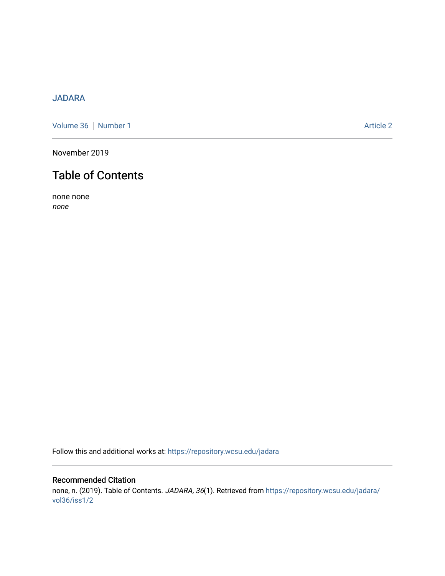## [JADARA](https://repository.wcsu.edu/jadara)

[Volume 36](https://repository.wcsu.edu/jadara/vol36) | [Number 1](https://repository.wcsu.edu/jadara/vol36/iss1) Article 2

November 2019

# Table of Contents

none none none

Follow this and additional works at: [https://repository.wcsu.edu/jadara](https://repository.wcsu.edu/jadara?utm_source=repository.wcsu.edu%2Fjadara%2Fvol36%2Fiss1%2F2&utm_medium=PDF&utm_campaign=PDFCoverPages)

### Recommended Citation none, n. (2019). Table of Contents. JADARA, 36(1). Retrieved from [https://repository.wcsu.edu/jadara/](https://repository.wcsu.edu/jadara/vol36/iss1/2?utm_source=repository.wcsu.edu%2Fjadara%2Fvol36%2Fiss1%2F2&utm_medium=PDF&utm_campaign=PDFCoverPages) [vol36/iss1/2](https://repository.wcsu.edu/jadara/vol36/iss1/2?utm_source=repository.wcsu.edu%2Fjadara%2Fvol36%2Fiss1%2F2&utm_medium=PDF&utm_campaign=PDFCoverPages)